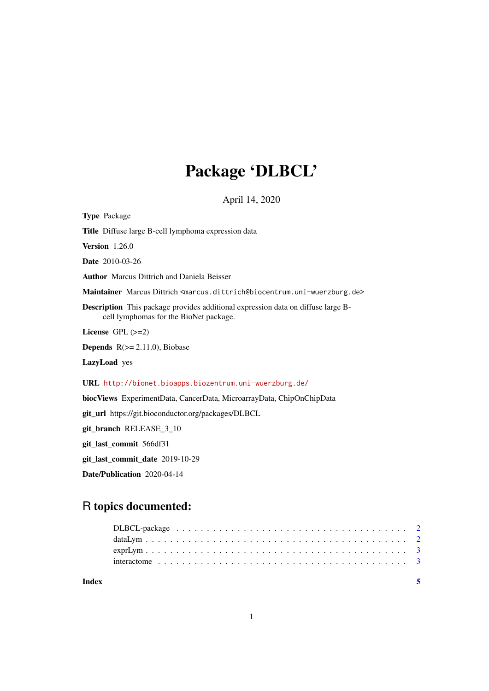## Package 'DLBCL'

April 14, 2020

Title Diffuse large B-cell lymphoma expression data Version 1.26.0 Date 2010-03-26 Author Marcus Dittrich and Daniela Beisser Maintainer Marcus Dittrich <marcus.dittrich@biocentrum.uni-wuerzburg.de> Description This package provides additional expression data on diffuse large Bcell lymphomas for the BioNet package. License GPL (>=2) **Depends**  $R$ ( $>= 2.11.0$ ), Biobase LazyLoad yes URL <http://bionet.bioapps.biozentrum.uni-wuerzburg.de/> biocViews ExperimentData, CancerData, MicroarrayData, ChipOnChipData git\_url https://git.bioconductor.org/packages/DLBCL git\_branch RELEASE\_3\_10

git\_last\_commit 566df31

Type Package

git last commit date 2019-10-29

Date/Publication 2020-04-14

### R topics documented:

**Index** [5](#page-4-0). The second state of the second state of the second state of the second state of the second state of the second state of the second state of the second state of the second state of the second state of the second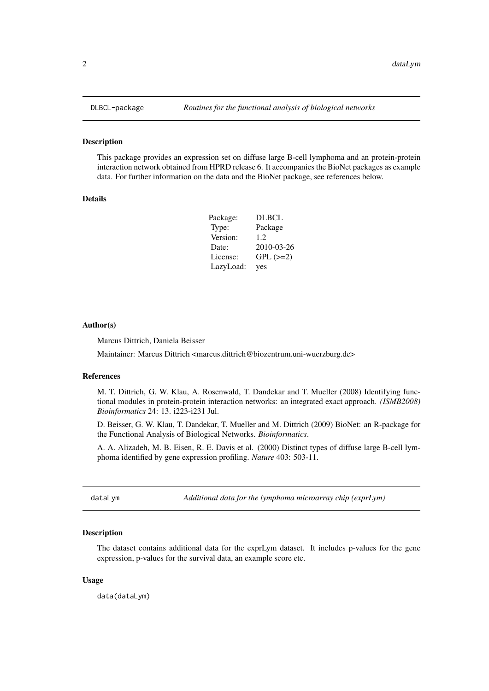#### <span id="page-1-0"></span>Description

This package provides an expression set on diffuse large B-cell lymphoma and an protein-protein interaction network obtained from HPRD release 6. It accompanies the BioNet packages as example data. For further information on the data and the BioNet package, see references below.

#### Details

| Package:  | <b>DLBCL</b>  |
|-----------|---------------|
| Type:     | Package       |
| Version:  | 1.2           |
| Date:     | 2010-03-26    |
| License:  | $GPL$ $(>=2)$ |
| LazyLoad: | yes           |

#### Author(s)

Marcus Dittrich, Daniela Beisser

Maintainer: Marcus Dittrich <marcus.dittrich@biozentrum.uni-wuerzburg.de>

#### References

M. T. Dittrich, G. W. Klau, A. Rosenwald, T. Dandekar and T. Mueller (2008) Identifying functional modules in protein-protein interaction networks: an integrated exact approach. *(ISMB2008) Bioinformatics* 24: 13. i223-i231 Jul.

D. Beisser, G. W. Klau, T. Dandekar, T. Mueller and M. Dittrich (2009) BioNet: an R-package for the Functional Analysis of Biological Networks. *Bioinformatics*.

A. A. Alizadeh, M. B. Eisen, R. E. Davis et al. (2000) Distinct types of diffuse large B-cell lymphoma identified by gene expression profiling. *Nature* 403: 503-11.

dataLym *Additional data for the lymphoma microarray chip (exprLym)*

#### Description

The dataset contains additional data for the exprLym dataset. It includes p-values for the gene expression, p-values for the survival data, an example score etc.

#### Usage

data(dataLym)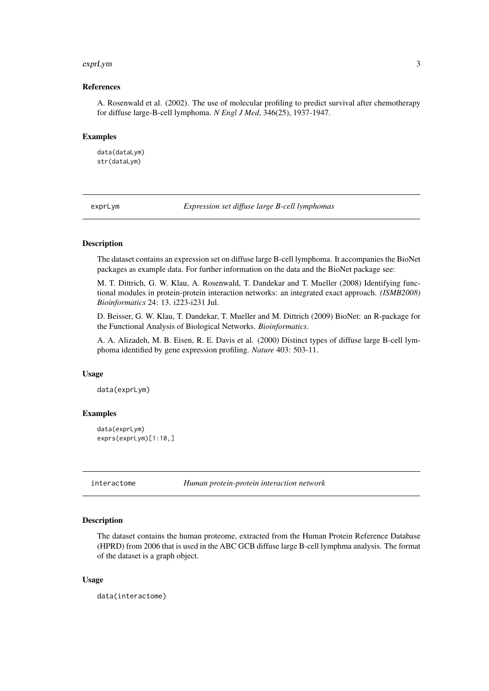#### <span id="page-2-0"></span>exprLym 3

#### References

A. Rosenwald et al. (2002). The use of molecular profiling to predict survival after chemotherapy for diffuse large-B-cell lymphoma. *N Engl J Med*, 346(25), 1937-1947.

#### Examples

data(dataLym) str(dataLym)

exprLym *Expression set diffuse large B-cell lymphomas*

#### Description

The dataset contains an expression set on diffuse large B-cell lymphoma. It accompanies the BioNet packages as example data. For further information on the data and the BioNet package see:

M. T. Dittrich, G. W. Klau, A. Rosenwald, T. Dandekar and T. Mueller (2008) Identifying functional modules in protein-protein interaction networks: an integrated exact approach. *(ISMB2008) Bioinformatics* 24: 13. i223-i231 Jul.

D. Beisser, G. W. Klau, T. Dandekar, T. Mueller and M. Dittrich (2009) BioNet: an R-package for the Functional Analysis of Biological Networks. *Bioinformatics*.

A. A. Alizadeh, M. B. Eisen, R. E. Davis et al. (2000) Distinct types of diffuse large B-cell lymphoma identified by gene expression profiling. *Nature* 403: 503-11.

#### Usage

data(exprLym)

#### Examples

```
data(exprLym)
exprs(exprLym)[1:10,]
```
interactome *Human protein-protein interaction network*

#### **Description**

The dataset contains the human proteome, extracted from the Human Protein Reference Database (HPRD) from 2006 that is used in the ABC GCB diffuse large B-cell lymphma analysis. The format of the dataset is a graph object.

#### Usage

data(interactome)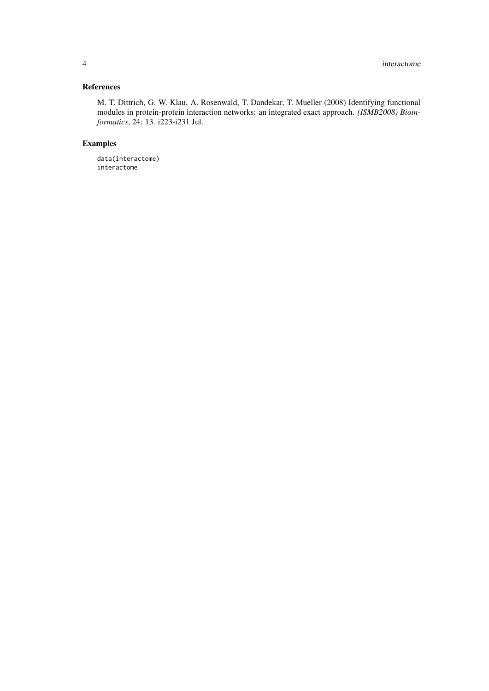#### References

M. T. Dittrich, G. W. Klau, A. Rosenwald, T. Dandekar, T. Mueller (2008) Identifying functional modules in protein-protein interaction networks: an integrated exact approach. *(ISMB2008) Bioinformatics*, 24: 13. i223-i231 Jul.

#### Examples

data(interactome) interactome